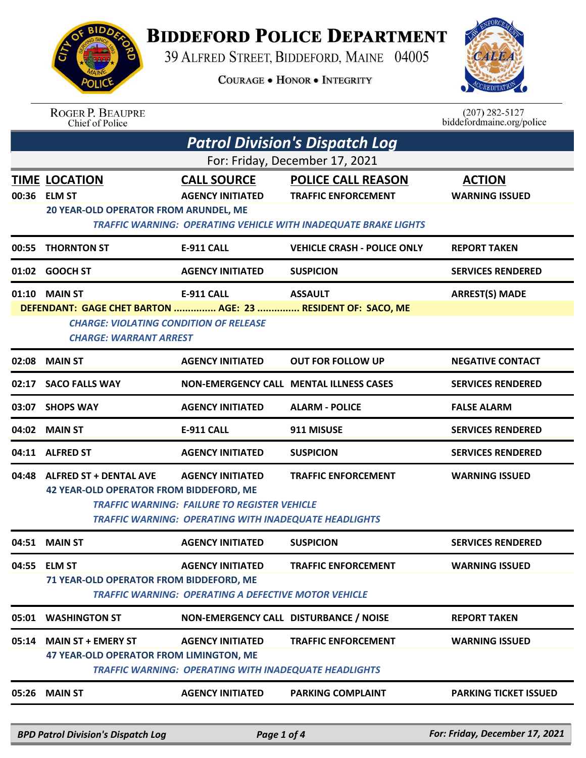## **BIDDEFORD POLICE DEPARTMENT**

39 ALFRED STREET, BIDDEFORD, MAINE 04005

**COURAGE . HONOR . INTEGRITY** 



## ROGER P. BEAUPRE<br>Chief of Police

 $(207)$  282-5127 biddefordmaine.org/police

| <b>Patrol Division's Dispatch Log</b> |                                                                                                                                                                |                                                                                                                                                |                                                                                                                                   |                                        |  |
|---------------------------------------|----------------------------------------------------------------------------------------------------------------------------------------------------------------|------------------------------------------------------------------------------------------------------------------------------------------------|-----------------------------------------------------------------------------------------------------------------------------------|----------------------------------------|--|
| For: Friday, December 17, 2021        |                                                                                                                                                                |                                                                                                                                                |                                                                                                                                   |                                        |  |
|                                       | <b>TIME LOCATION</b><br>00:36 ELM ST<br>20 YEAR-OLD OPERATOR FROM ARUNDEL, ME                                                                                  | <b>CALL SOURCE</b><br><b>AGENCY INITIATED</b>                                                                                                  | <b>POLICE CALL REASON</b><br><b>TRAFFIC ENFORCEMENT</b><br><b>TRAFFIC WARNING: OPERATING VEHICLE WITH INADEQUATE BRAKE LIGHTS</b> | <b>ACTION</b><br><b>WARNING ISSUED</b> |  |
| 00:55                                 | <b>THORNTON ST</b>                                                                                                                                             | <b>E-911 CALL</b>                                                                                                                              | <b>VEHICLE CRASH - POLICE ONLY</b>                                                                                                | <b>REPORT TAKEN</b>                    |  |
|                                       | 01:02 GOOCH ST                                                                                                                                                 | <b>AGENCY INITIATED</b>                                                                                                                        | <b>SUSPICION</b>                                                                                                                  | <b>SERVICES RENDERED</b>               |  |
|                                       | 01:10 MAIN ST<br>DEFENDANT: GAGE CHET BARTON  AGE: 23  RESIDENT OF: SACO, ME<br><b>CHARGE: VIOLATING CONDITION OF RELEASE</b><br><b>CHARGE: WARRANT ARREST</b> | <b>E-911 CALL</b>                                                                                                                              | <b>ASSAULT</b>                                                                                                                    | <b>ARREST(S) MADE</b>                  |  |
| 02:08                                 | <b>MAIN ST</b>                                                                                                                                                 | <b>AGENCY INITIATED</b>                                                                                                                        | <b>OUT FOR FOLLOW UP</b>                                                                                                          | <b>NEGATIVE CONTACT</b>                |  |
| 02:17                                 | <b>SACO FALLS WAY</b>                                                                                                                                          |                                                                                                                                                | <b>NON-EMERGENCY CALL MENTAL ILLNESS CASES</b>                                                                                    | <b>SERVICES RENDERED</b>               |  |
| 03:07                                 | <b>SHOPS WAY</b>                                                                                                                                               | <b>AGENCY INITIATED</b>                                                                                                                        | <b>ALARM - POLICE</b>                                                                                                             | <b>FALSE ALARM</b>                     |  |
| 04:02                                 | <b>MAIN ST</b>                                                                                                                                                 | <b>E-911 CALL</b>                                                                                                                              | 911 MISUSE                                                                                                                        | <b>SERVICES RENDERED</b>               |  |
|                                       | 04:11 ALFRED ST                                                                                                                                                | <b>AGENCY INITIATED</b>                                                                                                                        | <b>SUSPICION</b>                                                                                                                  | <b>SERVICES RENDERED</b>               |  |
|                                       | 04:48 ALFRED ST + DENTAL AVE<br><b>42 YEAR-OLD OPERATOR FROM BIDDEFORD, ME</b>                                                                                 | <b>AGENCY INITIATED</b><br><b>TRAFFIC WARNING: FAILURE TO REGISTER VEHICLE</b><br><b>TRAFFIC WARNING: OPERATING WITH INADEQUATE HEADLIGHTS</b> | <b>TRAFFIC ENFORCEMENT</b>                                                                                                        | <b>WARNING ISSUED</b>                  |  |
|                                       | 04:51 MAIN ST                                                                                                                                                  | <b>AGENCY INITIATED</b>                                                                                                                        | <b>SUSPICION</b>                                                                                                                  | <b>SERVICES RENDERED</b>               |  |
|                                       | 04:55 ELM ST<br>71 YEAR-OLD OPERATOR FROM BIDDEFORD, ME                                                                                                        | <b>AGENCY INITIATED</b><br><b>TRAFFIC WARNING: OPERATING A DEFECTIVE MOTOR VEHICLE</b>                                                         | <b>TRAFFIC ENFORCEMENT</b>                                                                                                        | <b>WARNING ISSUED</b>                  |  |
|                                       | 05:01 WASHINGTON ST                                                                                                                                            | NON-EMERGENCY CALL DISTURBANCE / NOISE                                                                                                         |                                                                                                                                   | <b>REPORT TAKEN</b>                    |  |
|                                       | 05:14 MAIN ST + EMERY ST<br>47 YEAR-OLD OPERATOR FROM LIMINGTON, ME                                                                                            | <b>AGENCY INITIATED</b><br><b>TRAFFIC WARNING: OPERATING WITH INADEQUATE HEADLIGHTS</b>                                                        | <b>TRAFFIC ENFORCEMENT</b>                                                                                                        | <b>WARNING ISSUED</b>                  |  |
|                                       | 05:26 MAIN ST                                                                                                                                                  | <b>AGENCY INITIATED</b>                                                                                                                        | <b>PARKING COMPLAINT</b>                                                                                                          | <b>PARKING TICKET ISSUED</b>           |  |
|                                       |                                                                                                                                                                |                                                                                                                                                |                                                                                                                                   |                                        |  |

*BPD Patrol Division's Dispatch Log Page 1 of 4 For: Friday, December 17, 2021*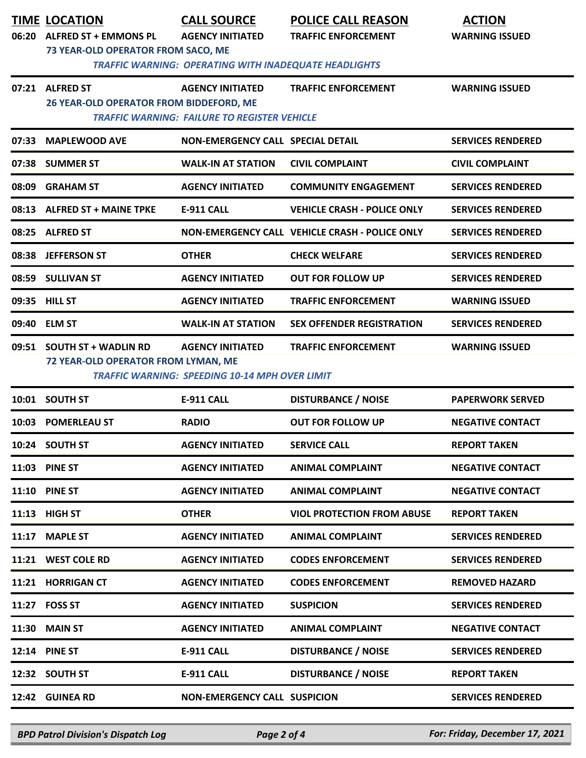|       | <b>TIME LOCATION</b>                                                                               | <b>CALL SOURCE</b>                                    | <b>POLICE CALL REASON</b>                      | <b>ACTION</b>            |  |
|-------|----------------------------------------------------------------------------------------------------|-------------------------------------------------------|------------------------------------------------|--------------------------|--|
|       | 06:20 ALFRED ST + EMMONS PL                                                                        | <b>AGENCY INITIATED</b>                               | <b>TRAFFIC ENFORCEMENT</b>                     | <b>WARNING ISSUED</b>    |  |
|       | 73 YEAR-OLD OPERATOR FROM SACO, ME<br><b>TRAFFIC WARNING: OPERATING WITH INADEQUATE HEADLIGHTS</b> |                                                       |                                                |                          |  |
|       |                                                                                                    |                                                       |                                                |                          |  |
|       | 07:21 ALFRED ST<br>26 YEAR-OLD OPERATOR FROM BIDDEFORD, ME                                         | <b>AGENCY INITIATED</b>                               | <b>TRAFFIC ENFORCEMENT</b>                     | <b>WARNING ISSUED</b>    |  |
|       |                                                                                                    | <b>TRAFFIC WARNING: FAILURE TO REGISTER VEHICLE</b>   |                                                |                          |  |
| 07:33 | <b>MAPLEWOOD AVE</b>                                                                               | <b>NON-EMERGENCY CALL SPECIAL DETAIL</b>              |                                                | <b>SERVICES RENDERED</b> |  |
|       | 07:38 SUMMER ST                                                                                    | <b>WALK-IN AT STATION</b>                             | <b>CIVIL COMPLAINT</b>                         | <b>CIVIL COMPLAINT</b>   |  |
| 08:09 | <b>GRAHAM ST</b>                                                                                   | <b>AGENCY INITIATED</b>                               | <b>COMMUNITY ENGAGEMENT</b>                    | <b>SERVICES RENDERED</b> |  |
|       | 08:13 ALFRED ST + MAINE TPKE                                                                       | E-911 CALL                                            | <b>VEHICLE CRASH - POLICE ONLY</b>             | <b>SERVICES RENDERED</b> |  |
|       | 08:25 ALFRED ST                                                                                    |                                                       | NON-EMERGENCY CALL VEHICLE CRASH - POLICE ONLY | <b>SERVICES RENDERED</b> |  |
|       | 08:38 JEFFERSON ST                                                                                 | <b>OTHER</b>                                          | <b>CHECK WELFARE</b>                           | <b>SERVICES RENDERED</b> |  |
|       | 08:59 SULLIVAN ST                                                                                  | <b>AGENCY INITIATED</b>                               | <b>OUT FOR FOLLOW UP</b>                       | <b>SERVICES RENDERED</b> |  |
|       | 09:35 HILL ST                                                                                      | <b>AGENCY INITIATED</b>                               | <b>TRAFFIC ENFORCEMENT</b>                     | <b>WARNING ISSUED</b>    |  |
|       | 09:40 ELM ST                                                                                       | <b>WALK-IN AT STATION</b>                             | <b>SEX OFFENDER REGISTRATION</b>               | <b>SERVICES RENDERED</b> |  |
|       | 09:51 SOUTH ST + WADLIN RD                                                                         | <b>AGENCY INITIATED</b>                               | <b>TRAFFIC ENFORCEMENT</b>                     | <b>WARNING ISSUED</b>    |  |
|       | 72 YEAR-OLD OPERATOR FROM LYMAN, ME                                                                | <b>TRAFFIC WARNING: SPEEDING 10-14 MPH OVER LIMIT</b> |                                                |                          |  |
|       |                                                                                                    |                                                       |                                                |                          |  |
|       | 10:01 SOUTH ST                                                                                     | <b>E-911 CALL</b>                                     | <b>DISTURBANCE / NOISE</b>                     | <b>PAPERWORK SERVED</b>  |  |
|       | 10:03 POMERLEAU ST                                                                                 | <b>RADIO</b>                                          | <b>OUT FOR FOLLOW UP</b>                       | <b>NEGATIVE CONTACT</b>  |  |
|       | 10:24 SOUTH ST                                                                                     | <b>AGENCY INITIATED</b>                               | <b>SERVICE CALL</b>                            | <b>REPORT TAKEN</b>      |  |
|       | 11:03 PINE ST                                                                                      | <b>AGENCY INITIATED</b>                               | <b>ANIMAL COMPLAINT</b>                        | <b>NEGATIVE CONTACT</b>  |  |
|       | <b>11:10 PINE ST</b>                                                                               | <b>AGENCY INITIATED</b>                               | <b>ANIMAL COMPLAINT</b>                        | <b>NEGATIVE CONTACT</b>  |  |
|       | 11:13 HIGH ST                                                                                      | <b>OTHER</b>                                          | <b>VIOL PROTECTION FROM ABUSE</b>              | <b>REPORT TAKEN</b>      |  |
|       | 11:17 MAPLE ST                                                                                     | <b>AGENCY INITIATED</b>                               | <b>ANIMAL COMPLAINT</b>                        | <b>SERVICES RENDERED</b> |  |
|       | 11:21 WEST COLE RD                                                                                 | <b>AGENCY INITIATED</b>                               | <b>CODES ENFORCEMENT</b>                       | <b>SERVICES RENDERED</b> |  |
|       | 11:21 HORRIGAN CT                                                                                  | <b>AGENCY INITIATED</b>                               | <b>CODES ENFORCEMENT</b>                       | <b>REMOVED HAZARD</b>    |  |
|       | 11:27 FOSS ST                                                                                      | <b>AGENCY INITIATED</b>                               | <b>SUSPICION</b>                               | <b>SERVICES RENDERED</b> |  |
|       | 11:30 MAIN ST                                                                                      | <b>AGENCY INITIATED</b>                               | <b>ANIMAL COMPLAINT</b>                        | <b>NEGATIVE CONTACT</b>  |  |
|       | <b>12:14 PINE ST</b>                                                                               | <b>E-911 CALL</b>                                     | <b>DISTURBANCE / NOISE</b>                     | <b>SERVICES RENDERED</b> |  |
|       | 12:32 SOUTH ST                                                                                     | <b>E-911 CALL</b>                                     | <b>DISTURBANCE / NOISE</b>                     | <b>REPORT TAKEN</b>      |  |
|       | 12:42 GUINEA RD                                                                                    | <b>NON-EMERGENCY CALL SUSPICION</b>                   |                                                | <b>SERVICES RENDERED</b> |  |
|       |                                                                                                    |                                                       |                                                |                          |  |

*BPD Patrol Division's Dispatch Log Page 2 of 4 For: Friday, December 17, 2021*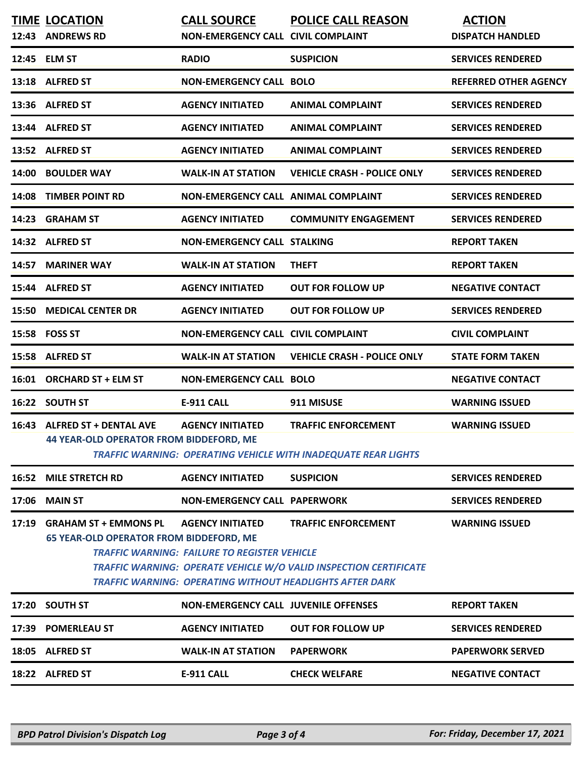|       | <b>TIME LOCATION</b><br>12:43 ANDREWS RD                                       | <b>CALL SOURCE</b><br><b>NON-EMERGENCY CALL CIVIL COMPLAINT</b>                | <b>POLICE CALL REASON</b>                                                                                                                                                 | <b>ACTION</b><br><b>DISPATCH HANDLED</b> |
|-------|--------------------------------------------------------------------------------|--------------------------------------------------------------------------------|---------------------------------------------------------------------------------------------------------------------------------------------------------------------------|------------------------------------------|
|       | 12:45 ELM ST                                                                   | <b>RADIO</b>                                                                   | <b>SUSPICION</b>                                                                                                                                                          | <b>SERVICES RENDERED</b>                 |
|       | 13:18 ALFRED ST                                                                | <b>NON-EMERGENCY CALL BOLO</b>                                                 |                                                                                                                                                                           | <b>REFERRED OTHER AGENCY</b>             |
| 13:36 | <b>ALFRED ST</b>                                                               | <b>AGENCY INITIATED</b>                                                        | <b>ANIMAL COMPLAINT</b>                                                                                                                                                   | <b>SERVICES RENDERED</b>                 |
|       | 13:44 ALFRED ST                                                                | <b>AGENCY INITIATED</b>                                                        | <b>ANIMAL COMPLAINT</b>                                                                                                                                                   | <b>SERVICES RENDERED</b>                 |
|       | 13:52 ALFRED ST                                                                | <b>AGENCY INITIATED</b>                                                        | <b>ANIMAL COMPLAINT</b>                                                                                                                                                   | <b>SERVICES RENDERED</b>                 |
| 14:00 | <b>BOULDER WAY</b>                                                             | <b>WALK-IN AT STATION</b>                                                      | <b>VEHICLE CRASH - POLICE ONLY</b>                                                                                                                                        | <b>SERVICES RENDERED</b>                 |
| 14:08 | <b>TIMBER POINT RD</b>                                                         | <b>NON-EMERGENCY CALL ANIMAL COMPLAINT</b>                                     |                                                                                                                                                                           | <b>SERVICES RENDERED</b>                 |
| 14:23 | <b>GRAHAM ST</b>                                                               | <b>AGENCY INITIATED</b>                                                        | <b>COMMUNITY ENGAGEMENT</b>                                                                                                                                               | <b>SERVICES RENDERED</b>                 |
|       | 14:32 ALFRED ST                                                                | <b>NON-EMERGENCY CALL STALKING</b>                                             |                                                                                                                                                                           | <b>REPORT TAKEN</b>                      |
| 14:57 | <b>MARINER WAY</b>                                                             | <b>WALK-IN AT STATION</b>                                                      | <b>THEFT</b>                                                                                                                                                              | <b>REPORT TAKEN</b>                      |
| 15:44 | <b>ALFRED ST</b>                                                               | <b>AGENCY INITIATED</b>                                                        | <b>OUT FOR FOLLOW UP</b>                                                                                                                                                  | <b>NEGATIVE CONTACT</b>                  |
| 15:50 | <b>MEDICAL CENTER DR</b>                                                       | <b>AGENCY INITIATED</b>                                                        | <b>OUT FOR FOLLOW UP</b>                                                                                                                                                  | <b>SERVICES RENDERED</b>                 |
| 15:58 | <b>FOSS ST</b>                                                                 | <b>NON-EMERGENCY CALL CIVIL COMPLAINT</b>                                      |                                                                                                                                                                           | <b>CIVIL COMPLAINT</b>                   |
| 15:58 | <b>ALFRED ST</b>                                                               | <b>WALK-IN AT STATION</b>                                                      | <b>VEHICLE CRASH - POLICE ONLY</b>                                                                                                                                        | <b>STATE FORM TAKEN</b>                  |
|       | 16:01 ORCHARD ST + ELM ST                                                      | <b>NON-EMERGENCY CALL BOLO</b>                                                 |                                                                                                                                                                           | <b>NEGATIVE CONTACT</b>                  |
|       | 16:22 SOUTH ST                                                                 | E-911 CALL                                                                     | 911 MISUSE                                                                                                                                                                | <b>WARNING ISSUED</b>                    |
|       | 16:43 ALFRED ST + DENTAL AVE<br>44 YEAR-OLD OPERATOR FROM BIDDEFORD, ME        | <b>AGENCY INITIATED</b>                                                        | <b>TRAFFIC ENFORCEMENT</b><br><b>TRAFFIC WARNING: OPERATING VEHICLE WITH INADEQUATE REAR LIGHTS</b>                                                                       | <b>WARNING ISSUED</b>                    |
|       | <b>16:52 MILE STRETCH RD</b>                                                   | <b>AGENCY INITIATED</b>                                                        | <b>SUSPICION</b>                                                                                                                                                          | <b>SERVICES RENDERED</b>                 |
|       | 17:06 MAIN ST                                                                  | <b>NON-EMERGENCY CALL PAPERWORK</b>                                            |                                                                                                                                                                           | <b>SERVICES RENDERED</b>                 |
| 17:19 | <b>GRAHAM ST + EMMONS PL</b><br><b>65 YEAR-OLD OPERATOR FROM BIDDEFORD, ME</b> | <b>AGENCY INITIATED</b><br><b>TRAFFIC WARNING: FAILURE TO REGISTER VEHICLE</b> | <b>TRAFFIC ENFORCEMENT</b><br><b>TRAFFIC WARNING: OPERATE VEHICLE W/O VALID INSPECTION CERTIFICATE</b><br><b>TRAFFIC WARNING: OPERATING WITHOUT HEADLIGHTS AFTER DARK</b> | <b>WARNING ISSUED</b>                    |
|       | 17:20 SOUTH ST                                                                 | <b>NON-EMERGENCY CALL JUVENILE OFFENSES</b>                                    |                                                                                                                                                                           | <b>REPORT TAKEN</b>                      |
|       | 17:39 POMERLEAU ST                                                             | <b>AGENCY INITIATED</b>                                                        | <b>OUT FOR FOLLOW UP</b>                                                                                                                                                  | <b>SERVICES RENDERED</b>                 |
|       | 18:05 ALFRED ST                                                                | <b>WALK-IN AT STATION</b>                                                      | <b>PAPERWORK</b>                                                                                                                                                          | <b>PAPERWORK SERVED</b>                  |
|       | 18:22 ALFRED ST                                                                | <b>E-911 CALL</b>                                                              | <b>CHECK WELFARE</b>                                                                                                                                                      | <b>NEGATIVE CONTACT</b>                  |